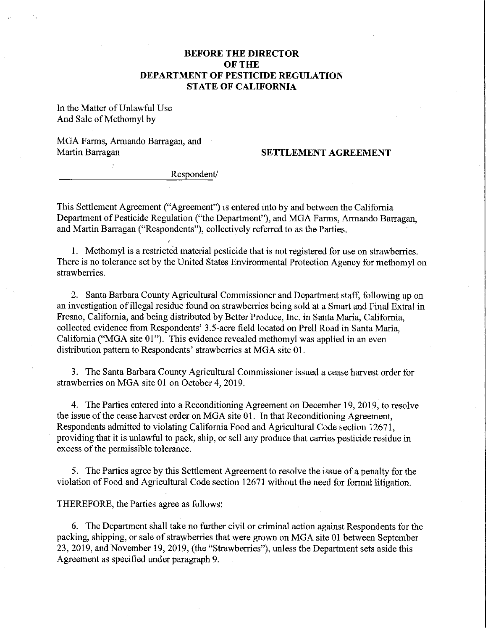## **BEFORE THE DIRECTOR OFTHE DEPARTMENT OF PESTICIDE REGULATION STATE OF CALIFORNIA**

In the Matter of Unlawful Use And Sale of Methomyl by

MGA Farms, Armando Barragan, and Martin Barragan **SETTLEMENT AGREEMENT** 

Respondent/

This Settlement Agreement ("Agreement") is entered into by and between the California Department of Pesticide Regulation ("the Department"), and MGA Farms, Armando Barragan, and Martin Barragan ("Respondents"), collectively referred to as the Parties.

1. Methomyl is a restricted material pesticide that is not registered for use on strawberries. There is no tolerance set by the United States Environmental Protection Agency for methomyl on strawberries.

2. Santa Barbara County Agricultural Commissioner and Department staff, following up on an investigation of illegal residue found on strawberries being sold at a Smart and Final Extra! in Fresno, California, and being distributed by Better Produce, Inc. in Santa Maria, California, collected evidence from Respondents' 3.5-acre field located on Prell Road in Santa Maria, California ("MGA site 01"). This evidence revealed methomyl was applied in an even distribution pattern to Respondents' strawberries at MGA site 01.

3. The Santa Barbara County Agricultural Commissioner issued a cease harvest order for strawberries on MGA site 01 on October 4, 2019.

4. The Parties entered into a Reconditioning Agreement on December 19, 2019, to resolve the issue of the cease harvest order on MGA site 01. In that Reconditioning Agreement, Respondents admitted to violating California Food and Agricultural Code section 12671, providing that it is unlawful to pack, ship, or sell any produce that carries pesticide residue in excess of the permissible tolerance.

5. The Parties agree by this Settlement Agreement to resolve the issue of a penalty for the violation of Food and Agricultural Code section 12671 without the need for formal litigation.

THEREFORE, the Parties agree as follows:

6. The Department shall take no further civil or criminal action against Respondents for the packing, shipping, or sale of strawberries that were grown on MGA site 01 between September 23, 2019, and November 19, 2019, (the "Strawberries"), unless the Department sets aside this Agreement as specified under paragraph 9.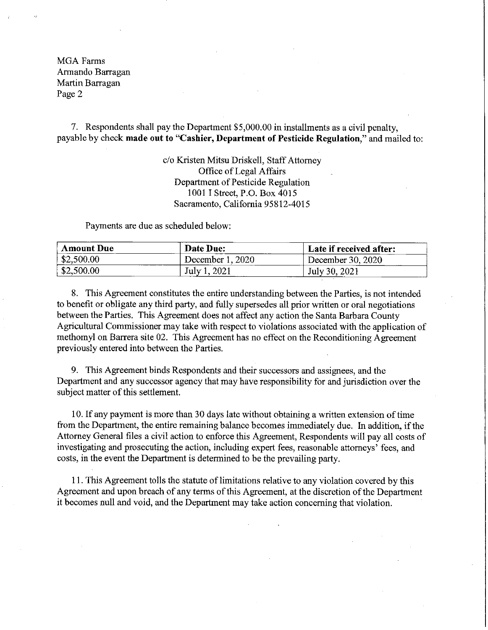MGAFarms Armando Barragan Martin Barragan Page 2

7. Respondents shall pay the Department \$[5,000.00](https://5,000.00) in installments as a civil penalty, payable by check **made out to "Cashier, Department of Pesticide Regulation,"** and mailed to:

> c/o Kristen Mitsu Driskell, Staff Attorney Office of Legal Affairs Department of Pesticide Regulation 1001 I Street, P.O. Box 4015 Sacramento, California 95812-4015

Payments are due as scheduled below:

| <b>Amount Due</b> | Date Due:        | Late if received after: |
|-------------------|------------------|-------------------------|
| \$2,500.00        | December 1, 2020 | December 30, 2020       |
| \$2,500.00        | July 1, 2021     | July 30, 2021           |

8. This Agreement constitutes the entire understanding between the Parties, is not intended to benefit or obligate any third party, and fully supersedes all prior written or oral negotiations between the Parties. This Agreement does not affect any action the Santa Barbara County Agricultural Commissioner may take with respect to violations associated with the application of methomyl on Barrera site 02. This Agreement has no effect on the Reconditioning Agreement previously entered into between the Parties.

9. This Agreement binds Respondents and their successors and assignees, and the Department and any successor agency that may have responsibility for and jurisdiction over the subject matter of this settlement.

10. If any payment is more than 30 days late without obtaining a written extension of time from the Department, the entire remaining balance becomes immediately due. In addition, if the Attorney General files a civil action to enforce this Agreement, Respondents will pay all costs of investigating and prosecuting the action, including expert fees, reasonable attorneys' fees, and costs, in the event the Department is determined to be the prevailing party.

11. This Agreement tolls the statute oflimitations relative to any violation covered by this Agreement and upon breach of any terms of this Agreement, at the discretion of the Department it becomes null and void, and the Department may take action concerning that violation.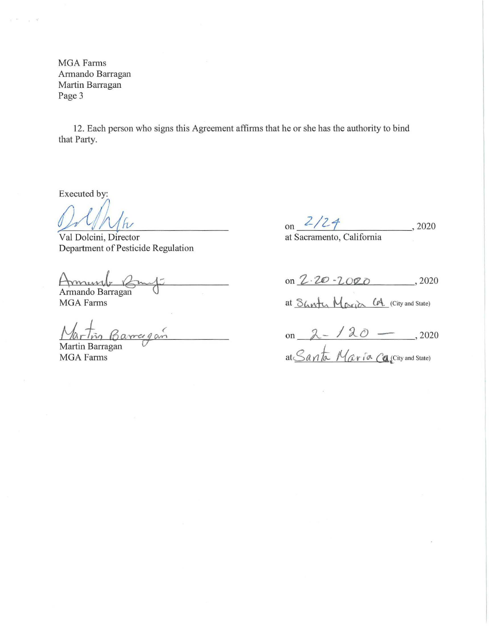MGA Farms Armando Barragan Martin Barragan Page 3

12. Each person who signs this Agreement affinns that he or she has the authority to bind that Party.

Executed by:

Val Dolcini, Director Department of Pesticide Regulation

Annando Barragan

**MGA** Farms

Barragan

MGA Farms Martin Barragan

on *Z/Z-f*  at Sacramento, California , 2020

on  $2.20 - 2000$ , 2020

at <u>Sharty</u> Maria CA. (City and State)

on  $2 - 120 - 12020$ at <u>Santa</u> Maria Calcity and State)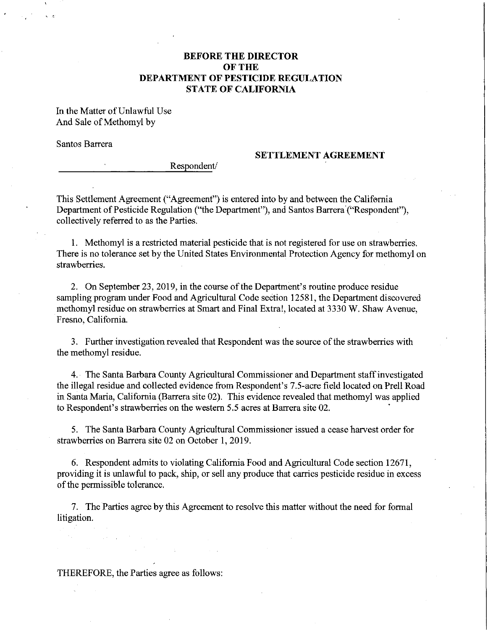## **BEFORE THE DIRECTOR OFTHE DEPARTMENT OF PESTICIDE REGULATION STATE OF CALIFORNIA**

In the Matter of Unlawful Use And Sale of Methomyl by

Santos Barrera

### **SETTLEMENT AGREEMENT**

Respondent/

This Settlement Agreement ("Agreement") is entered into by and between the California Department of Pesticide Regulation ("the Department"), and Santos Barrera'("Respondent"), collectively referred to as the Parties.

1. Methomyl is a restricted material pesticide that is not registered for use on strawberries. There is no tolerance set by the United States Environmental Protection Agency for methomyl on strawberries.

2. On September 23, 2019, in the course of the Department's routine produce residue sampling program under Food and Agricultural Code section 12581, the Department discovered methomyl residue on strawberries at Smart and Final Extra!, located at 3330 **W.** Shaw Avenue, Fresno, California.

3. Further investigation revealed that Respondent was the source of the strawberries with the methomyl residue.

4. The Santa Barbara County Agricultural Commissioner and Department staff investigated the illegal residue and collected evidence from Respondent's 7.5-acre field located on Prell Road in Santa Maria, California (Barrera site 02). This evidence revealed that methomyl was applied to Respondent's strawberries on the western  $5.5$  acres at Barrera site  $02$ .

5. The Santa Barbara County Agricultural Commissioner issued a cease harvest order for strawberries on Barrera site 02 on October 1, 2019.

6. Respondent admits to violating California Food and Agricultural Code section 12671, providing it is unlawful to pack, ship, or sell any produce that carries pesticide residue in excess of the permissible tolerance.

7. The Parties agree by this Agreement to resolve this matter without the need for formal litigation.

THEREFORE, the Parties agree as follows: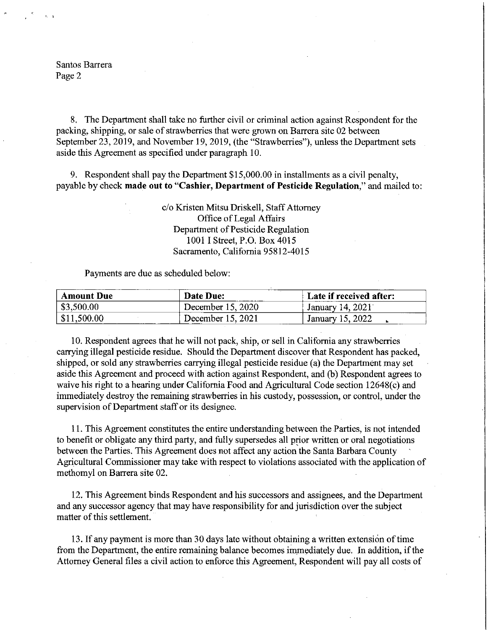Santos Barrera Page 2

8. The Department shall take no further civil or criminal action against Respondent for the packing, shipping, or sale of strawberries that were grown on Barrera site 02 between September 23, 2019, and November 19, 2019, (the "Strawberries"), unless the Department sets aside this Agreement as specified under paragraph 10.

9. Respondent shall pay the Department \$[15,000.00](https://15,000.00) in installments as a civil penalty, payable by check **made out to "Cashier, Department of Pesticide Regulation,"** and mailed to:

> c/o Kristen Mitsu Driskell, Staff Attorney Office of Legal Affairs Department of Pesticide Regulation 1001 I Street, P.O. Box 4015 Sacramento, California 95812-4015

Payments are due as scheduled below:

| <b>Amount Due</b>     | Date Due:         | Late if received after: |
|-----------------------|-------------------|-------------------------|
| $\frac{$3,500.00}{ }$ | December 15, 2020 | January 14, 2021        |
| $\vert$ \$11,500.00   | December 15, 2021 | January 15, 2022        |

10. Respondent agrees that he will not pack, ship, or sell in California any strawberries carrying illegal pesticide residue. Should the Department discover that Respondent has packed, shipped, or sold any strawberries carrying illegal pesticide residue (a) the Department may set aside this Agreement and proceed with action against Respondent, and (b) Respondent agrees to waive his right to a hearing under California Food and Agricultural Code section 12648(c) and immediately destroy the remaining strawberries in his custody, possession, or control, under the supervision of Department staff or its designee.

11. This Agreement constitutes the entire understanding between the Parties, is not intended to benefit or obligate any third party, and fully supersedes all prior written or oral negotiations between the Parties. This Agreement does not affect any action the Santa Barbara County Agricultural Commissioner may take with respect to violations associated with the application of methomyl on Barrera site 02.

12. This Agreement binds Respondent and his successors and assignees, and the Department and any successor agency that may have responsibility for and jurisdiction over the subject matter of this settlement.

13. If any payment is more than 30 days late without obtaining a written extension oftime from the Department, the entire remaining balance becomes immediately due. In addition, if the Attorney General files a civil action to enforce this Agreement, Respondent will pay all costs of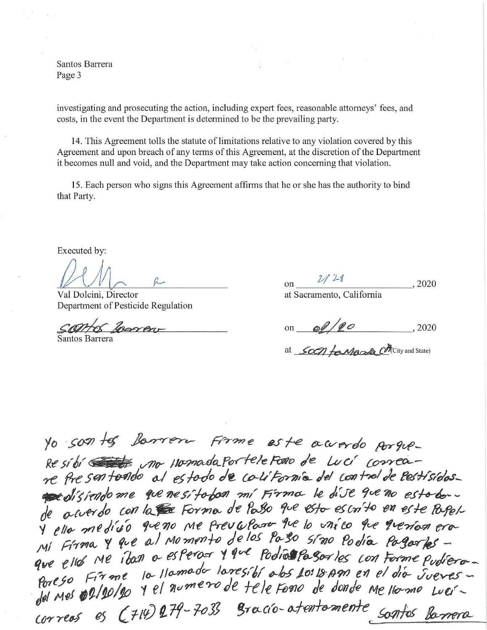Santos Barrera Page 3

investigating and prosecuting the action, including expert fees, reasonable attorneys' fees, and costs, in the event the Department is determined to be the prevailing party.

14. This Agreement tolls the statute of limitations relative to any violation covered by this Agreement and upon breach of any terms of this Agreement, at the discretion of the Department it becomes null and void, and the Department may take action concerning that violation.

15. Each person who signs this Agreement affitms that he or she has the authority to bind that Party.

Executed by:

Val Dolcini, Director at Sacramento, California Department of Pesticide Regulation Val Dolcini, Director

 $800B1-$ 

Santos Barrera

 $\rho$  on  $\frac{2}{\sqrt{2}}$ *1*  $\frac{1}{2}$   $\frac{2020}{20}$ 

on  $\frac{60}{20}$ 

at Soon for Monta Chicity and State)

*to* -so::n */-if* ~~,\_ ~17-?ne 6S *f-e.* ~W'l'y-dO *fbr9t.,{}* Re si bi <del>et di</del> uno viomada portele Foro de Luci correare fre sentendo al estodo de colifornia del control de lestísidos. a disferido me que ne sito bon mí Firma le dive que no esto dode acuerdo con la se Forma de Passo que esto escrito en este Pagel-'/ *ell,,,,* ¢f*j,~*o tf/ve *7/()* /\1f *f,-evfvf{)(PV fve /() ~7J/*t!P *fc.;e f~?/'o-¢* er(}'- <sup>J</sup>',1/ *Fft?'IOv* y *{Iv* l *t0vl* M~ *m~fl; de /().S f* g.,,*!,() ~,r710 Po* **~tL-** */J~(PT'/ef* \_ MI FITTIN i Jan a esperar y que podias pasar les con Forme pudiera. ego Firme la llamada laregibi abs 10:18 Am en el dia Jueves. que elles Me 16an a estera. Il 100100010500105 Lon Forme pudiera<br>Poreso Firme la llamada laresibi abs Lo: 18.Am en el dia Jueves  $\frac{1}{100}$  and  $\frac{1}{100}$  es (714) 279-7033 gracio-atentomente sontes barrera